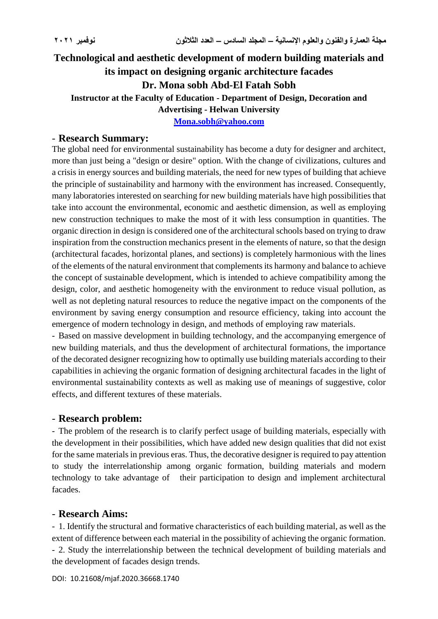# **Technological and aesthetic development of modern building materials and its impact on designing organic architecture facades Dr. Mona sobh Abd-El Fatah Sobh Instructor at the Faculty of Education - Department of Design, Decoration and Advertising - Helwan University**

**[Mona.sobh@yahoo.com](mailto:Mona.sobh@yahoo.com)**

#### - **Research Summary:**

The global need for environmental sustainability has become a duty for designer and architect, more than just being a "design or desire" option. With the change of civilizations, cultures and a crisis in energy sources and building materials, the need for new types of building that achieve the principle of sustainability and harmony with the environment has increased. Consequently, many laboratories interested on searching for new building materials have high possibilities that take into account the environmental, economic and aesthetic dimension, as well as employing new construction techniques to make the most of it with less consumption in quantities. The organic direction in design is considered one of the architectural schools based on trying to draw inspiration from the construction mechanics present in the elements of nature, so that the design (architectural facades, horizontal planes, and sections) is completely harmonious with the lines of the elements of the natural environment that complements its harmony and balance to achieve the concept of sustainable development, which is intended to achieve compatibility among the design, color, and aesthetic homogeneity with the environment to reduce visual pollution, as well as not depleting natural resources to reduce the negative impact on the components of the environment by saving energy consumption and resource efficiency, taking into account the emergence of modern technology in design, and methods of employing raw materials.

- Based on massive development in building technology, and the accompanying emergence of new building materials, and thus the development of architectural formations, the importance of the decorated designer recognizing how to optimally use building materials according to their capabilities in achieving the organic formation of designing architectural facades in the light of environmental sustainability contexts as well as making use of meanings of suggestive, color effects, and different textures of these materials.

## - **Research problem:**

- The problem of the research is to clarify perfect usage of building materials, especially with the development in their possibilities, which have added new design qualities that did not exist for the same materials in previous eras. Thus, the decorative designer is required to pay attention to study the interrelationship among organic formation, building materials and modern technology to take advantage of their participation to design and implement architectural facades.

## - **Research Aims:**

- 1. Identify the structural and formative characteristics of each building material, as well as the extent of difference between each material in the possibility of achieving the organic formation. - 2. Study the interrelationship between the technical development of building materials and the development of facades design trends.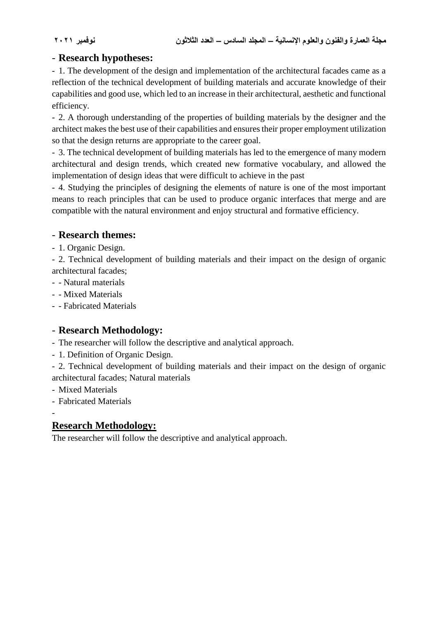## - **Research hypotheses:**

- 1. The development of the design and implementation of the architectural facades came as a reflection of the technical development of building materials and accurate knowledge of their capabilities and good use, which led to an increase in their architectural, aesthetic and functional efficiency.

- 2. A thorough understanding of the properties of building materials by the designer and the architect makes the best use of their capabilities and ensures their proper employment utilization so that the design returns are appropriate to the career goal.

- 3. The technical development of building materials has led to the emergence of many modern architectural and design trends, which created new formative vocabulary, and allowed the implementation of design ideas that were difficult to achieve in the past

- 4. Studying the principles of designing the elements of nature is one of the most important means to reach principles that can be used to produce organic interfaces that merge and are compatible with the natural environment and enjoy structural and formative efficiency.

## - **Research themes:**

- 1. Organic Design.

- 2. Technical development of building materials and their impact on the design of organic architectural facades;

- - Natural materials
- - Mixed Materials
- - Fabricated Materials

## - **Research Methodology:**

- The researcher will follow the descriptive and analytical approach.

- 1. Definition of Organic Design.

- 2. Technical development of building materials and their impact on the design of organic architectural facades; Natural materials

- Mixed Materials
- Fabricated Materials

-

## **Research Methodology:**

The researcher will follow the descriptive and analytical approach.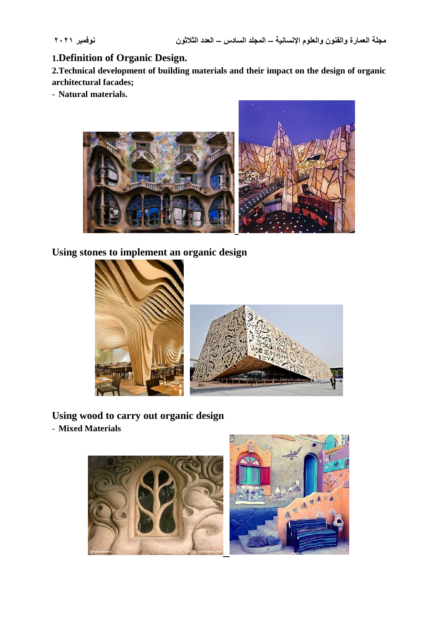## **1.Definition of Organic Design.**

**2.Technical development of building materials and their impact on the design of organic architectural facades;**

- **Natural materials.**



**Using stones to implement an organic design**



**Using wood to carry out organic design**

- **Mixed Materials**

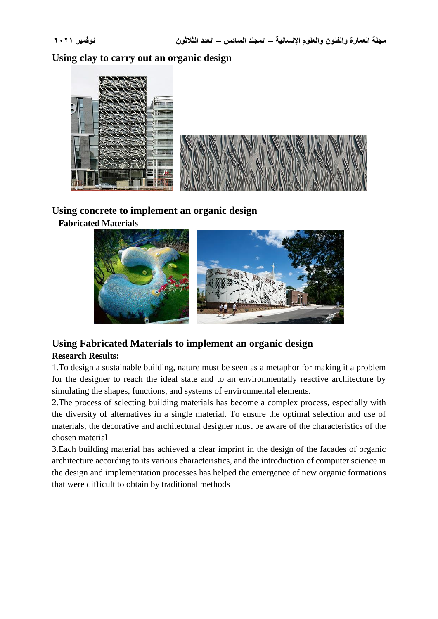**Using clay to carry out an organic design**



## **Using concrete to implement an organic design**

- **Fabricated Materials**



# **Using Fabricated Materials to implement an organic design**

#### **Research Results:**

1.To design a sustainable building, nature must be seen as a metaphor for making it a problem for the designer to reach the ideal state and to an environmentally reactive architecture by simulating the shapes, functions, and systems of environmental elements.

2.The process of selecting building materials has become a complex process, especially with the diversity of alternatives in a single material. To ensure the optimal selection and use of materials, the decorative and architectural designer must be aware of the characteristics of the chosen material

3.Each building material has achieved a clear imprint in the design of the facades of organic architecture according to its various characteristics, and the introduction of computer science in the design and implementation processes has helped the emergence of new organic formations that were difficult to obtain by traditional methods